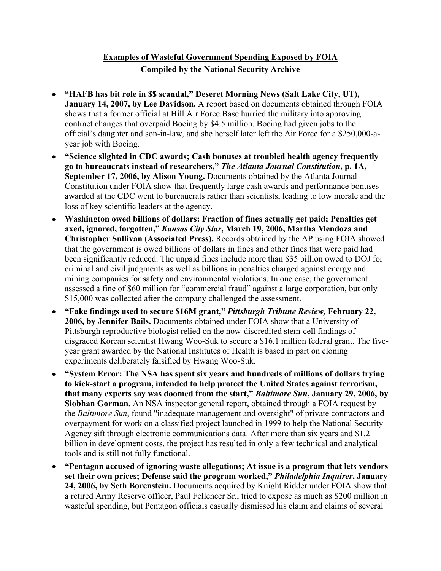## **Examples of Wasteful Government Spending Exposed by FOIA Compiled by the National Security Archive**

- **"HAFB has bit role in \$\$ scandal," Deseret Morning News (Salt Lake City, UT), January 14, 2007, by Lee Davidson.** A report based on documents obtained through FOIA shows that a former official at Hill Air Force Base hurried the military into approving contract changes that overpaid Boeing by \$4.5 million. Boeing had given jobs to the official's daughter and son-in-law, and she herself later left the Air Force for a \$250,000-ayear job with Boeing.
- **"Science slighted in CDC awards; Cash bonuses at troubled health agency frequently go to bureaucrats instead of researchers,"** *The Atlanta Journal Constitution***, p. 1A, September 17, 2006, by Alison Young.** Documents obtained by the Atlanta Journal-Constitution under FOIA show that frequently large cash awards and performance bonuses awarded at the CDC went to bureaucrats rather than scientists, leading to low morale and the loss of key scientific leaders at the agency.
- **Washington owed billions of dollars: Fraction of fines actually get paid; Penalties get axed, ignored, forgotten,"** *Kansas City Star***, March 19, 2006, Martha Mendoza and Christopher Sullivan (Associated Press).** Records obtained by the AP using FOIA showed that the government is owed billions of dollars in fines and other fines that were paid had been significantly reduced. The unpaid fines include more than \$35 billion owed to DOJ for criminal and civil judgments as well as billions in penalties charged against energy and mining companies for safety and environmental violations. In one case, the government assessed a fine of \$60 million for "commercial fraud" against a large corporation, but only \$15,000 was collected after the company challenged the assessment.
- **"Fake findings used to secure \$16M grant,"** *Pittsburgh Tribune Review,* **February 22, 2006, by Jennifer Bails.** Documents obtained under FOIA show that a University of Pittsburgh reproductive biologist relied on the now-discredited stem-cell findings of disgraced Korean scientist Hwang Woo-Suk to secure a \$16.1 million federal grant. The fiveyear grant awarded by the National Institutes of Health is based in part on cloning experiments deliberately falsified by Hwang Woo-Suk.
- **"System Error: The NSA has spent six years and hundreds of millions of dollars trying to kick-start a program, intended to help protect the United States against terrorism, that many experts say was doomed from the start,"** *Baltimore Sun***, January 29, 2006, by Siobhan Gorman.** An NSA inspector general report, obtained through a FOIA request by the *Baltimore Sun*, found "inadequate management and oversight" of private contractors and overpayment for work on a classified project launched in 1999 to help the National Security Agency sift through electronic communications data. After more than six years and \$1.2 billion in development costs, the project has resulted in only a few technical and analytical tools and is still not fully functional.
- **"Pentagon accused of ignoring waste allegations; At issue is a program that lets vendors set their own prices; Defense said the program worked,"** *Philadelphia Inquirer***, January 24, 2006, by Seth Borenstein.** Documents acquired by Knight Ridder under FOIA show that a retired Army Reserve officer, Paul Fellencer Sr., tried to expose as much as \$200 million in wasteful spending, but Pentagon officials casually dismissed his claim and claims of several